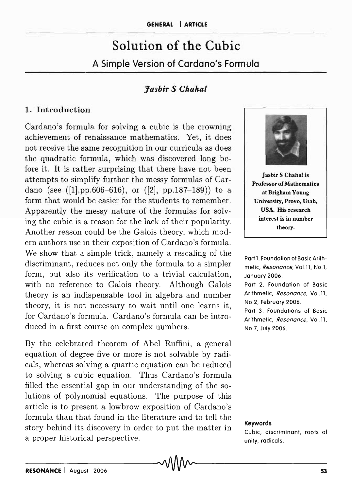# Solution of the Cubic A Simple Version of Cardano/s Formula

## *Jasbir S Chahal*

#### 1. Introduction

Cardano's formula for solving a cubic is the crowning achievement of renaissance mathematics. Yet, it does not receive the same recognition in our curricula as does the quadratic formula, which was discovered long before it. It is rather surprising that there have not been attempts to simplify further the messy formulas of Cardano (see  $([1], pp.606-616)$ , or  $([2], pp.187-189)$ ) to a form that would be easier for the students to remember. Apparently the messy nature of the formulas for solving the cubic is a reason for the lack of their popularity. Another reason could be the Galois theory, which modern authors use in their exposition of Cardano's formula. We show that a simple trick, namely a rescaling of the discriminant, reduces not only the formula to a simpler form, but also its verification to a trivial calculation, with no reference to Galois theory. Although Galois theory is an indispensable tool in algebra and number theory, it is not necessary to wait until one learns it, for Cardano's formula. Cardano's formula can be introduced in a first course on complex numbers.

By the celebrated theorem of Abel-Ruffini, a general equation of degree five or more is not solvable by radicals, whereas solving a quartic equation can be reduced to solving a cubic equation. Thus Cardano's formula filled the essential gap in our understanding of the solutions of polynomial equations. The purpose of this article is to present a lowbrow exposition of Cardano's formula than that found in the literature and to tell the story behind its discovery in order to put the matter in a proper historical perspective.



**Jasbir S Chahal is** Professor of Mathematics at Brigham Young University, Provo, Utah, USA. His research interest is in number theory.

Part 1. Foundation of Basic Arithmetic, Resonance, Vol.l1, No.1, January 2006.

Part 2. Foundation of Basic Arithmetic, Resonance, Vol.ll, No.2, February 2006.

Part 3. Foundations of Basic Arithmetic, Resonance, Vol.11, No.7, July 2006.

#### Keywords

Cubic, discriminant, roots of unity, radicals .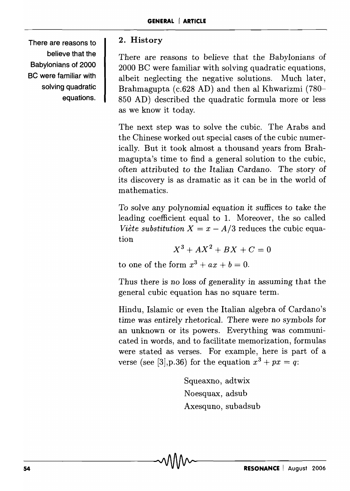There are reasons to believe that the Babylonians of 2000 BC were familiar with solving quadratic equations.

# 2. History

There are reasons to believe that the Babylonians of 2000 BC were familiar with solving quadratic equations, albeit neglecting the negative solutions. Much later, Brahmagupta (c.628 AD) and then al Khwarizmi (780- 850 AD) described the quadratic formula more or less as we know it today.

The next step was to solve the cubic. The Arabs and the Chinese worked out special cases of the cubic numerically. But it took almost a thousand years from Brahmagupta's time to find a general solution to the cubic, often attributed to the Italian Cardano. The story of its discovery is as dramatic as it can be in the world of mathematics.

To solve any polynomial equation it suffices to take the leading coefficient equal to 1. Moreover, the so called *Viète substitution*  $X = x - A/3$  reduces the cubic equation

$$
X^3 + AX^2 + BX + C = 0
$$

to one of the form  $x^3 + ax + b = 0$ .

Thus there is no loss of generality in assuming that the general cubic equation has no square term.

Hindu, Islamic or even the Italian algebra of Cardano's *time* was *entirely* rhetorical. There were no symbols for an unknown or its powers. Everything was communicated in words, and to facilitate memorization, formulas were stated as verses. For example, here is part of a verse (see [3], p.36) for the equation  $x^3 + px = q$ :

> Squeaxno, adtwix Noesquax, adsub Axesquno, subadsub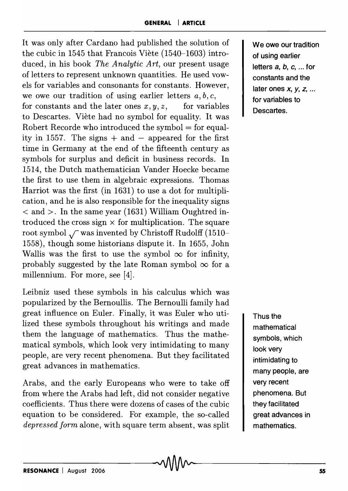It was only after Cardano had published the solution of the cubic in 1545 that Francois Viete (1540-1603) introduced, in his book *The Analytic Art,* our present usage of letters to represent unknown quantities. He used vowels for variables and consonants for constants. However, we owe our tradition of using earlier letters  $a, b, c$ , for constants and the later ones  $x, y, z$ , for variables to Descartes. Viete had no symbol for equality. It was Robert Recorde who introduced the symbol  $=$  for equality in 1557. The signs  $+$  and  $-$  appeared for the first time in Germany at the end of the fifteenth century as symbols for surplus and deficit in business records. In 1514, the Dutch mathematician Vander Hoecke became the first to use them in algebraic expressions. Thomas Harriot was the first (in 1631) to use a dot for multiplication, and he is also responsible for the inequality signs  $\alpha$  and  $>$ . In the same year (1631) William Oughtred introduced the cross sign  $\times$  for multiplication. The square root symbol  $\sqrt{\ }$  was invented by Christoff Rudolff (1510-1558), though some historians dispute it. In 1655, John Wallis was the first to use the symbol  $\infty$  for infinity, probably suggested by the late Roman symbol  $\infty$  for a millennium. For more, see [4].

Leibniz used these symbols in his calculus which was popularized by the Bernoullis. The Bernoulli family had great influence on Euler. Finally, it was Euler who utilized these symbols throughout his writings and made them the language of mathematics. Thus the mathematical symbols, which look very intimidating to many people, are very recent phenomena. But they facilitated great advances in mathematics.

Arabs, and the early Europeans who were to take off from where the Arabs had left, did not consider negative coefficients. Thus there were dozens of cases of the cubic equation to be considered. For example, the so-called *depressed form* alone, with square term absent, was split We owe our tradition of using earlier letters  $a, b, c, \ldots$  for constants and the later ones *x,* y, z, ... for variables to Descartes.

Thus the mathematical symbols, which look very intimidating to many people, are very recent phenomena. But they facilitated great advances in mathematics.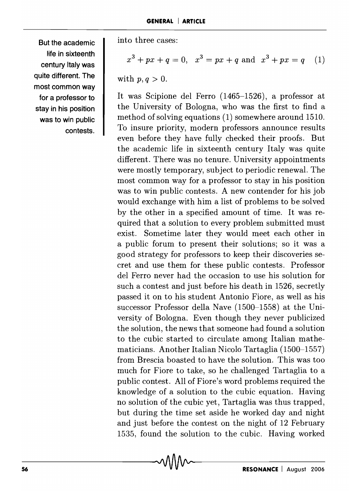**But the academic life in sixteenth**  century Italy was **quite different. The most common way for a professor to stay in his position was to win public contests.**  into three cases:

$$
x3 + px + q = 0, \quad x3 = px + q \text{ and } x3 + px = q \quad (1)
$$

with 
$$
p, q > 0
$$
.

It was Scipione del Ferro (1465-1526), a professor at the University of Bologna, who was the first to find a method of solving equations (1) somewhere around 1510. To insure priority, modern professors announce results even before they have fully checked their proofs. But the academic life in sixteenth century Italy was quite different. There was no tenure. University appointments were mostly temporary, subject to periodic renewal. The most common way for a professor to stay in his position was to win public contests. A new contender for his job would exchange with him a list of problems to be solved by the other in a specified amount of time. It was required that a solution to every problem submitted must exist. Sometime later they would meet each other in a public forum to present their solutions; so it was a good strategy for professors to keep their discoveries secret and use them for these public contests. Professor del Ferro never had the occasion to use his solution for such a contest and just before his death in 1526, secretly passed it on to his student Antonio Fiore, as well as his successor Professor della Nave  $(1500-1558)$  at the University of Bologna. Even though they never publicized the solution, the news that someone had found a solution to the cubic started to circulate among Italian mathematicians. Another Italian Nicolo Tartaglia (1500-1557) from Brescia boasted to have the solution. This was too much for Fiore to take, so he challenged Tartaglia to a public contest. All of Fiore's word problems required the knowledge of a solution to the cubic equation. Having no solution of the cubic yet, Tartaglia was thus trapped, but during the time set aside he worked day and night and just before the contest on the night of 12 February 1535, found the solution to the cubic. Having worked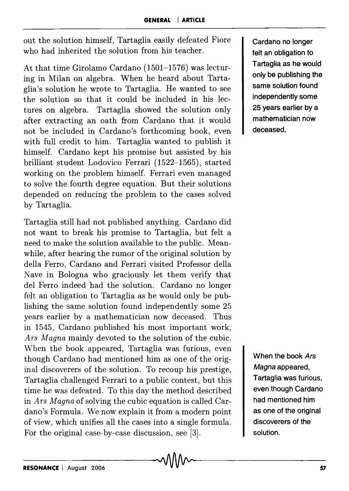out the solution himself, Tartaglia easily defeated Fiore who had inherited the solution from his teacher.

At that time Girolamo Cardano (1501-1576) was lecturing in Milan on algebra. When he heard about Tartaglia's solution he wrote to Tartaglia. He wanted to see the solution so that it could be included in his lectures on algebra. Tartaglia showed the solution only after extracting an oath from Cardano that it would not be included in Cardano's forthcoming book, even with full credit to him. Tartaglia wanted to publish it himself. Cardano kept his promise but assisted by his brilliant student Lodovico Ferrari (1522-1565), started working on the problem himself. Ferrari even managed to solve the fourth degree equation. But their solutions depended on reducing the problem to the cases solved by Tartaglia.

Tartaglia still had not published anything. Cardano did not want to break his promise to Tartaglia, but felt a need to make the solution available to the public. Meanwhile, after hearing the rumor of the original solution by della Ferro, Cardano and Ferrari visited Professor della Nave in Bologna who graciously let them verify that del Ferro indeed had the solution. Cardano no longer felt an obligation to Tartaglia as he would only be publishing the same solution found independently some 25 years earlier by a mathematician now deceased. Thus in 1545, Cardano published his most important work, *Ars Magna* mainly devoted to the solution of the cubic. When the book appeared, Tartaglia was furious, even though Cardano had mentioned him as one of the original discoverers of the solution. To recoup his prestige, Tartaglia challenged Ferrari to a public contest, but this time he was defeated. To this day the method described in *Ars Magna* of solving the cubic equation is called Cardano's Formula. We now explain it from a modern point of view, which unifies all the cases into a single formula. For the original case-by-case discussion, see [3].

Cardano no longer felt an obligation to Tartaglia as he would only be publishing the same solution found independently some 25 years earlier by a mathematician now deceased.

When the book Ars Magna appeared, Tartaglia was furious, even though Cardano had mentioned him as one of the original discoverers of the solution.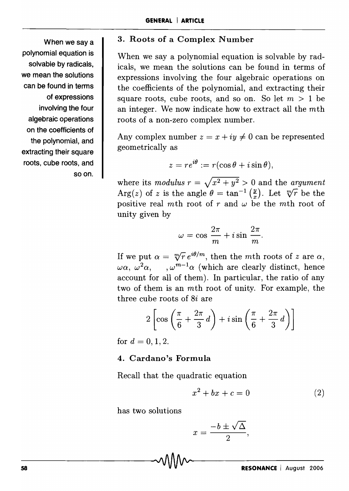When we say a polynomial equation is solvable by radicals, we mean the solutions can be found in terms of expressions involving the four algebraic operations on the coefficients of the polynomial, and extracting their square roots, cube roots, and soon.

## 3. Roots of a Complex Number

When we say a polynomial equation is solvable by radicals, we mean the solutions can be found in terms of expressions involving the four algebraic operations on the coefficients of the polynomial, and extracting their square roots, cube roots, and so on. So let  $m > 1$  be an integer. We now indicate how to extract all the mth roots of a non-zero complex number.

Any complex number  $z = x + iy \neq 0$  can be represented geometrically as

$$
z = re^{i\theta} := r(\cos\theta + i\sin\theta),
$$

where its *modulus*  $r = \sqrt{x^2 + y^2} > 0$  and the *argument* Arg(*z*) of *z* is the angle  $\theta = \tan^{-1} \left(\frac{y}{x}\right)$ . Let  $\sqrt[m]{r}$  be the positive real mth root of r and  $\omega$  be the mth root of unity given by

$$
\omega = \cos \frac{2\pi}{m} + i \sin \frac{2\pi}{m}.
$$

If we put  $\alpha = \sqrt[m]{r}e^{i\theta/m}$ , then the mth roots of z are  $\alpha$ ,  $\omega \alpha$ ,  $\omega^2 \alpha$ ,  $\omega^{m-1} \alpha$  (which are clearly distinct, hence account for all of them). In particular, the ratio of any two of them is an mth root of unity. For example, the three cube roots of 8i are

$$
2\left[\cos\left(\frac{\pi}{6} + \frac{2\pi}{3}d\right) + i\sin\left(\frac{\pi}{6} + \frac{2\pi}{3}d\right)\right]
$$

for  $d = 0, 1, 2$ .

#### 4. Cardano's Formula

Recall that the quadratic equation

$$
x^2 + bx + c = 0 \tag{2}
$$

has two solutions

$$
x = \frac{-b \pm \sqrt{\Delta}}{2},
$$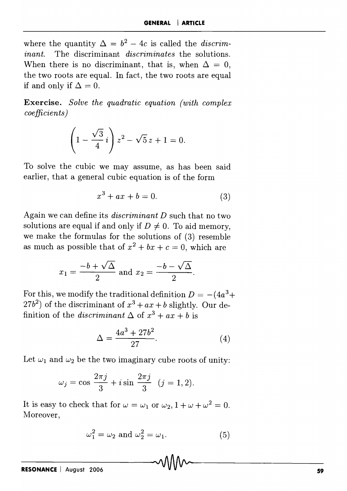where the quantity  $\Delta = b^2 - 4c$  is called the *discriminant.* The discriminant *discriminates* the solutions. When there is no discriminant, that is, when  $\Delta = 0$ , the two roots are equal. In fact, the two roots are equal if and only if  $\Delta = 0$ .

Exercise. *Solve the quadratic equation (with complex coefficients)* 

$$
\left(1 - \frac{\sqrt{3}}{4}i\right)z^2 - \sqrt{5}z + 1 = 0.
$$

To solve the cubic we may assume, as has been said earlier, that a general cubic equation is of the form

$$
x^3 + ax + b = 0.\t\t(3)
$$

Again we can define its *discriminant D* such that no two solutions are equal if and only if  $D \neq 0$ . To aid memory, we make the formulas for the solutions of (3) resemble as much as possible that of  $x^2 + bx + c = 0$ , which are

$$
x_1 = \frac{-b + \sqrt{\Delta}}{2}
$$
 and 
$$
x_2 = \frac{-b - \sqrt{\Delta}}{2}
$$
.

For this, we modify the traditional definition  $D = -(4a^3 +$  $(27b^2)$  of the discriminant of  $x^3 + ax + b$  slightly. Our definition of the *discriminant*  $\Delta$  of  $x^3 + ax + b$  is

$$
\Delta = \frac{4a^3 + 27b^2}{27}.
$$
 (4)

Let  $\omega_1$  and  $\omega_2$  be the two imaginary cube roots of unity:

$$
\omega_j = \cos \frac{2\pi j}{3} + i \sin \frac{2\pi j}{3}
$$
  $(j = 1, 2).$ 

It is easy to check that for  $\omega = \omega_1$  or  $\omega_2$ ,  $1 + \omega + \omega^2 = 0$ . Moreover,

$$
\omega_1^2 = \omega_2 \text{ and } \omega_2^2 = \omega_1. \tag{5}
$$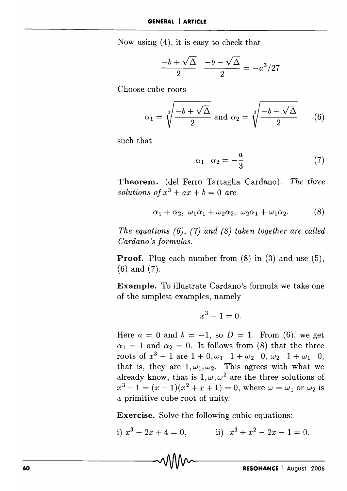Now using (4), it is easy to check that

$$
\frac{-b+\sqrt{\Delta}}{2} \frac{-b-\sqrt{\Delta}}{2} = -a^3/27.
$$

Choose cube roots

$$
\alpha_1 = \sqrt[3]{\frac{-b + \sqrt{\Delta}}{2}} \text{ and } \alpha_2 = \sqrt[3]{\frac{-b - \sqrt{\Delta}}{2}} \qquad (6)
$$

such that

$$
\alpha_1 \quad \alpha_2 = -\frac{a}{3}.\tag{7}
$$

**Theorem.** (del Ferro-Tartaglia-Cardano). *The three solutions of*  $x^3 + ax + b = 0$  *are* 

$$
\alpha_1 + \alpha_2, \ \omega_1 \alpha_1 + \omega_2 \alpha_2, \ \omega_2 \alpha_1 + \omega_1 \alpha_2. \tag{8}
$$

*The equations* (6), (7) *and* (8) *taken together are called Cardano's formulas.* 

**Proof.** Plug each number from (8) in (3) and use (5), (6) and (7).

**Example.** To illustrate Cardano's formula we take one of the simplest examples, namely

$$
x^3-1=0.
$$

Here  $a = 0$  and  $b = -1$ , so  $D = 1$ . From (6), we get  $\alpha_1 = 1$  and  $\alpha_2 = 0$ . It follows from (8) that the three roots of  $x^3 - 1$  are  $1 + 0, \omega_1$   $1 + \omega_2$  0,  $\omega_2$  1 +  $\omega_1$  0, that is, they are  $1, \omega_1, \omega_2$ . This agrees with what we already know, that is  $1, \omega, \omega^2$  are the three solutions of  $x^3 - 1 = (x - 1)(x^2 + x + 1) = 0$ , where  $\omega = \omega_1$  or  $\omega_2$  is a primitive cube root of unity.

**Exercise.** Solve the following cubic equations:

i)  $x^3 - 2x + 4 = 0$ , ii)  $x^3 + x^2 - 2x - 1 = 0$ .